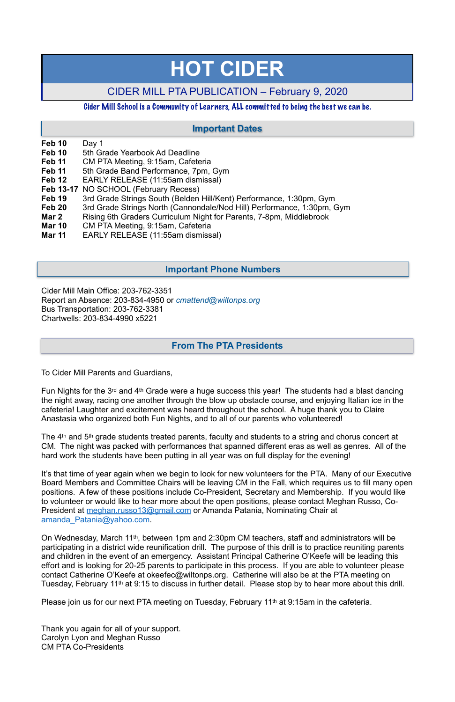#### **Feb 10** Day 1

- **Feb 10** 5th Grade Yearbook Ad Deadline
- **Feb 11** CM PTA Meeting, 9:15am, Cafeteria
- **Feb 11** 5th Grade Band Performance, 7pm, Gym
- **Feb 12** EARLY RELEASE (11:55am dismissal)
- **Feb 13-17** NO SCHOOL (February Recess)
- **Feb 19** 3rd Grade Strings South (Belden Hill/Kent) Performance, 1:30pm, Gym
- **Feb 20** 3rd Grade Strings North (Cannondale/Nod Hill) Performance, 1:30pm, Gym
- **Mar 2** Rising 6th Graders Curriculum Night for Parents, 7-8pm, Middlebrook
- **Mar 10** CM PTA Meeting, 9:15am, Cafeteria
- **Mar 11** EARLY RELEASE (11:55am dismissal)

Cider Mill Main Office: 203-762-3351 Report an Absence: 203-834-4950 or *[cmattend@wiltonps.org](mailto:fallonk@wiltonps.org)* Bus Transportation: 203-762-3381 Chartwells: 203-834-4990 x5221

It's that time of year again when we begin to look for new volunteers for the PTA. Many of our Executive Board Members and Committee Chairs will be leaving CM in the Fall, which requires us to fill many open positions. A few of these positions include Co-President, Secretary and Membership. If you would like to volunteer or would like to hear more about the open positions, please contact Meghan Russo, CoPresident at [meghan.russo13@gmail.com](mailto:meghan.russo13@gmail.com) or Amanda Patania, Nominating Chair at

To Cider Mill Parents and Guardians,

Fun Nights for the 3rd and 4th Grade were a huge success this year! The students had a blast dancing the night away, racing one another through the blow up obstacle course, and enjoying Italian ice in the cafeteria! Laughter and excitement was heard throughout the school. A huge thank you to Claire Anastasia who organized both Fun Nights, and to all of our parents who volunteered!

The 4th and 5th grade students treated parents, faculty and students to a string and chorus concert at CM. The night was packed with performances that spanned different eras as well as genres. All of the hard work the students have been putting in all year was on full display for the evening!

#### [amanda\\_Patania@yahoo.com.](mailto:amanda_Patania@yahoo.com)

On Wednesday, March 11th, between 1pm and 2:30pm CM teachers, staff and administrators will be participating in a district wide reunification drill. The purpose of this drill is to practice reuniting parents and children in the event of an emergency. Assistant Principal Catherine O'Keefe will be leading this effort and is looking for 20-25 parents to participate in this process. If you are able to volunteer please contact Catherine O'Keefe at okeefec@wiltonps.org. Catherine will also be at the PTA meeting on Tuesday, February 11th at 9:15 to discuss in further detail. Please stop by to hear more about this drill.

Please join us for our next PTA meeting on Tuesday, February 11th at 9:15am in the cafeteria.

Thank you again for all of your support. Carolyn Lyon and Meghan Russo CM PTA Co-Presidents

# **HOT CIDER**

## CIDER MILL PTA PUBLICATION – February 9, 2020

#### Cider Mill School is a Community of Learners, ALL committed to being the best we can be.

#### **From The PTA Presidents**

### **Important Dates**

#### **Important Phone Numbers**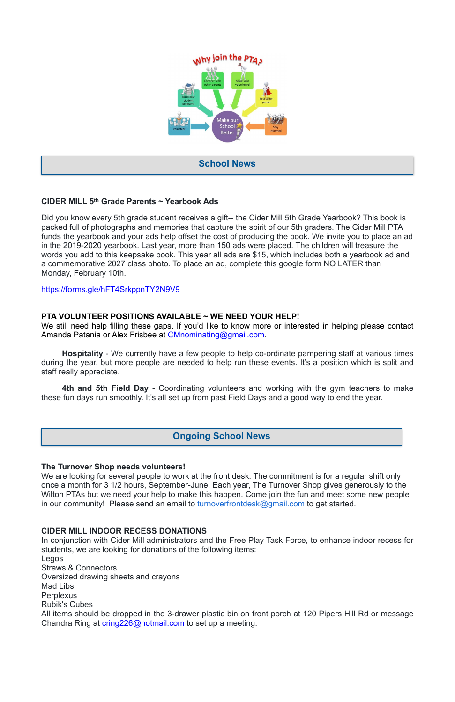#### **CIDER MILL 5th Grade Parents ~ Yearbook Ads**

Did you know every 5th grade student receives a gift-- the Cider Mill 5th Grade Yearbook? This book is packed full of photographs and memories that capture the spirit of our 5th graders. The Cider Mill PTA funds the yearbook and your ads help offset the cost of producing the book. We invite you to place an ad in the 2019-2020 yearbook. Last year, more than 150 ads were placed. The children will treasure the words you add to this keepsake book. This year all ads are \$15, which includes both a yearbook ad and a commemorative 2027 class photo. To place an ad, complete this google form NO LATER than Monday, February 10th.

<https://forms.gle/hFT4SrkppnTY2N9V9>

#### **PTA VOLUNTEER POSITIONS AVAILABLE ~ WE NEED YOUR HELP!**

We still need help filling these gaps. If you'd like to know more or interested in helping please contact Amanda Patania or Alex Frisbee at [CMnominating@gmail.com](mailto:CMnominating@gmail.com).

**Hospitality** - We currently have a few people to help co-ordinate pampering staff at various times during the year, but more people are needed to help run these events. It's a position which is split and staff really appreciate.

**4th and 5th Field Day** - Coordinating volunteers and working with the gym teachers to make these fun days run smoothly. It's all set up from past Field Days and a good way to end the year.

#### **The Turnover Shop needs volunteers!**

We are looking for several people to work at the front desk. The commitment is for a regular shift only once a month for 3 1/2 hours, September-June. Each year, The Turnover Shop gives generously to the Wilton PTAs but we need your help to make this happen. Come join the fun and meet some new people in our community! Please send an email to **turnoverfrontdesk@gmail.com** to get started.

#### **CIDER MILL INDOOR RECESS DONATIONS**

In conjunction with Cider Mill administrators and the Free Play Task Force, to enhance indoor recess for students, we are looking for donations of the following items:

Legos

Straws & Connectors

Oversized drawing sheets and crayons

Mad Libs

Perplexus

Rubik's Cubes

All items should be dropped in the 3-drawer plastic bin on front porch at 120 Pipers Hill Rd or message Chandra Ring at [cring226@hotmail.com](mailto:cring226@hotmail.com) to set up a meeting.



#### **School News**

#### **Ongoing School News**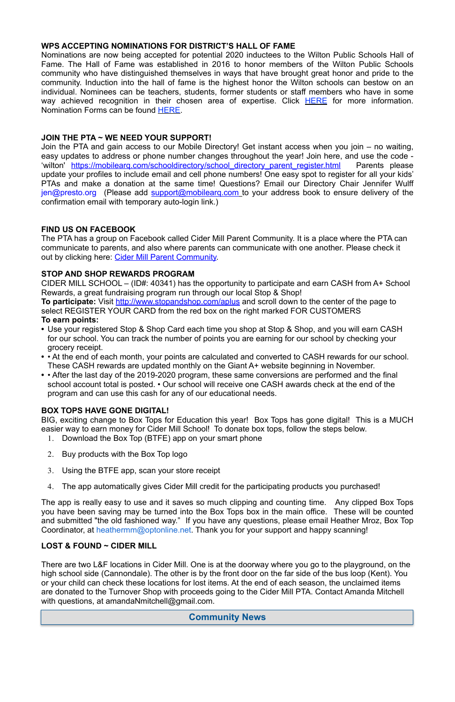#### **WPS ACCEPTING NOMINATIONS FOR DISTRICT'S HALL OF FAME**

Nominations are now being accepted for potential 2020 inductees to the Wilton Public Schools Hall of Fame. The Hall of Fame was established in 2016 to honor members of the Wilton Public Schools community who have distinguished themselves in ways that have brought great honor and pride to the community. Induction into the hall of fame is the highest honor the Wilton schools can bestow on an individual. Nominees can be teachers, students, former students or staff members who have in some way achieved recognition in their chosen area of expertise. Click **HERE** for more information. Nomination Forms can be found [HERE.](http://track.spe.schoolmessenger.com/f/a/3Yz71ntoAvhN2xGbOg7igg~~/AAAAAQA~/RgRfl0b4P0RSaHR0cHM6Ly9kcml2ZS5nb29nbGUuY29tL2ZpbGUvZC8xVzB2d0F6RExIRExGcFZ1c1Zjc3owclNYejBJWFMxZlMvdmlldz91c3A9c2hhcmluZ1cHc2Nob29sbUIKAAB4E7ZdJF1uw1ITd29vZnlAb3B0b25saW5lLm5ldFgEAAAAAQ~~)

The PTA has a group on Facebook called Cider Mill Parent Community. It is a place where the PTA can communicate to parents, and also where parents can communicate with one another. Please check it out by clicking here: [Cider Mill Parent Community.](https://www.facebook.com/groups/1168962513117647/)

#### **JOIN THE PTA ~ WE NEED YOUR SUPPORT!**

Join the PTA and gain access to our Mobile Directory! Get instant access when you join – no waiting, easy updates to address or phone number changes throughout the year! Join here, and use the code - 'wilton' https://mobilearq.com/schooldirectory/school directory parent register.html Parents please update your profiles to include email and cell phone numbers! One easy spot to register for all your kids' PTAs and make a donation at the same time! Questions? Email our Directory Chair Jennifer Wulff [jen@presto.org](mailto:jen@presto.org) (Please add support@mobilearg.com to your address book to ensure delivery of the confirmation email with temporary auto-login link.)

#### **FIND US ON FACEBOOK**

The app is really easy to use and it saves so much clipping and counting time. Any clipped Box Tops you have been saving may be turned into the Box Tops box in the main office. These will be counted and submitted "the old fashioned way." If you have any questions, please email Heather Mroz, Box Top Coordinator, at [heathermm@optonline.net.](mailto:heathermm@optonline.net) Thank you for your support and happy scanning!

#### **STOP AND SHOP REWARDS PROGRAM**

There are two L&F locations in Cider Mill. One is at the doorway where you go to the playground, on the high school side (Cannondale). The other is by the front door on the far side of the bus loop (Kent). You or your child can check these locations for lost items. At the end of each season, the unclaimed items are donated to the Turnover Shop with proceeds going to the Cider Mill PTA. Contact Amanda Mitchell with questions, at amandaNmitchell@gmail.com.

CIDER MILL SCHOOL – (ID#: 40341) has the opportunity to participate and earn CASH from A+ School Rewards, a great fundraising program run through our local Stop & Shop! **To participate:** Visit<http://www.stopandshop.com/aplus>and scroll down to the center of the page to select REGISTER YOUR CARD from the red box on the right marked FOR CUSTOMERS

# **To earn points:**

- **•** Use your registered Stop & Shop Card each time you shop at Stop & Shop, and you will earn CASH for our school. You can track the number of points you are earning for our school by checking your grocery receipt.
- **•** At the end of each month, your points are calculated and converted to CASH rewards for our school. These CASH rewards are updated monthly on the Giant A+ website beginning in November.
- **•** After the last day of the 2019-2020 program, these same conversions are performed and the final school account total is posted. • Our school will receive one CASH awards check at the end of the program and can use this cash for any of our educational needs.

#### **BOX TOPS HAVE GONE DIGITAL!**

BIG, exciting change to Box Tops for Education this year! Box Tops has gone digital! This is a MUCH easier way to earn money for Cider Mill School! To donate box tops, follow the steps below.

- 1. Download the Box Top (BTFE) app on your smart phone
- 2. Buy products with the Box Top logo
- 3. Using the BTFE app, scan your store receipt
- 4. The app automatically gives Cider Mill credit for the participating products you purchased!

#### **LOST & FOUND ~ CIDER MILL**

**Community News**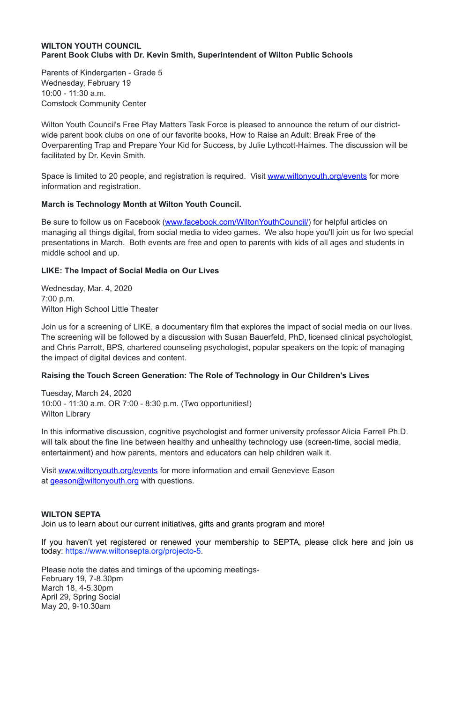#### **WILTON YOUTH COUNCIL Parent Book Clubs with Dr. Kevin Smith, Superintendent of Wilton Public Schools**

Parents of Kindergarten - Grade 5 Wednesday, February 19 10:00 - 11:30 a.m. Comstock Community Center

Space is limited to 20 people, and registration is required. Visit [www.wiltonyouth.org/events](http://www.wiltonyouth.org/events) for more information and registration.

Wilton Youth Council's Free Play Matters Task Force is pleased to announce the return of our districtwide parent book clubs on one of our favorite books, How to Raise an Adult: Break Free of the Overparenting Trap and Prepare Your Kid for Success, by Julie Lythcott-Haimes. The discussion will be facilitated by Dr. Kevin Smith.

Be sure to follow us on Facebook ([www.facebook.com/WiltonYouthCouncil/\)](http://www.facebook.com/WiltonYouthCouncil/) for helpful articles on managing all things digital, from social media to video games. We also hope you'll join us for two special presentations in March. Both events are free and open to parents with kids of all ages and students in middle school and up.

#### **March is Technology Month at Wilton Youth Council.**

#### **LIKE: The Impact of Social Media on Our Lives**

Wednesday, Mar. 4, 2020 7:00 p.m. Wilton High School Little Theater

Join us for a screening of LIKE, a documentary film that explores the impact of social media on our lives. The screening will be followed by a discussion with Susan Bauerfeld, PhD, licensed clinical psychologist, and Chris Parrott, BPS, chartered counseling psychologist, popular speakers on the topic of managing the impact of digital devices and content.

#### **Raising the Touch Screen Generation: The Role of Technology in Our Children's Lives**

Tuesday, March 24, 2020 10:00 - 11:30 a.m. OR 7:00 - 8:30 p.m. (Two opportunities!) Wilton Library

In this informative discussion, cognitive psychologist and former university professor Alicia Farrell Ph.D. will talk about the fine line between healthy and unhealthy technology use (screen-time, social media, entertainment) and how parents, mentors and educators can help children walk it.

Visit [www.wiltonyouth.org/events](http://www.wiltonyouth.org/events) for more information and email Genevieve Eason at [geason@wiltonyouth.org](mailto:geason@wiltonyouth.org) with questions.

#### **WILTON SEPTA**

Join us to learn about our current initiatives, gifts and grants program and more!

If you haven't yet registered or renewed your membership to SEPTA, please click here and join us today: [https://www.wiltonsepta.org/projecto-5.](https://www.wiltonsepta.org/projecto-5)

Please note the dates and timings of the upcoming meetings-February 19, 7-8.30pm March 18, 4-5.30pm April 29, Spring Social May 20, 9-10.30am